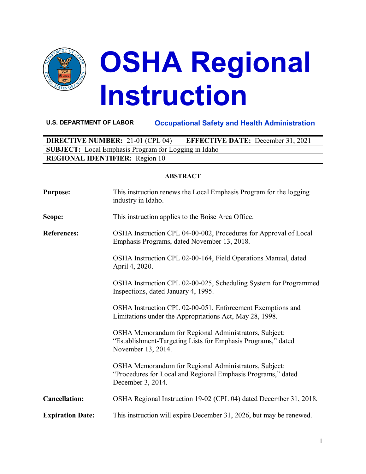

# **OSHA Regional Instruction**

# **U.S. DEPARTMENT OF LABOR Occupational Safety and Health Administration**

**DIRECTIVE NUMBER:** 21-01 (CPL 04) **EFFECTIVE DATE:** December 31, 2021 **SUBJECT:** Local Emphasis Program for Logging in Idaho **REGIONAL IDENTIFIER:** Region 10

#### **ABSTRACT**

| <b>Purpose:</b>         | This instruction renews the Local Emphasis Program for the logging<br>industry in Idaho.                                                    |
|-------------------------|---------------------------------------------------------------------------------------------------------------------------------------------|
| Scope:                  | This instruction applies to the Boise Area Office.                                                                                          |
| <b>References:</b>      | OSHA Instruction CPL 04-00-002, Procedures for Approval of Local<br>Emphasis Programs, dated November 13, 2018.                             |
|                         | OSHA Instruction CPL 02-00-164, Field Operations Manual, dated<br>April 4, 2020.                                                            |
|                         | OSHA Instruction CPL 02-00-025, Scheduling System for Programmed<br>Inspections, dated January 4, 1995.                                     |
|                         | OSHA Instruction CPL 02-00-051, Enforcement Exemptions and<br>Limitations under the Appropriations Act, May 28, 1998.                       |
|                         | OSHA Memorandum for Regional Administrators, Subject:<br>"Establishment-Targeting Lists for Emphasis Programs," dated<br>November 13, 2014. |
|                         | OSHA Memorandum for Regional Administrators, Subject:<br>"Procedures for Local and Regional Emphasis Programs," dated<br>December 3, 2014.  |
| <b>Cancellation:</b>    | OSHA Regional Instruction 19-02 (CPL 04) dated December 31, 2018.                                                                           |
| <b>Expiration Date:</b> | This instruction will expire December 31, 2026, but may be renewed.                                                                         |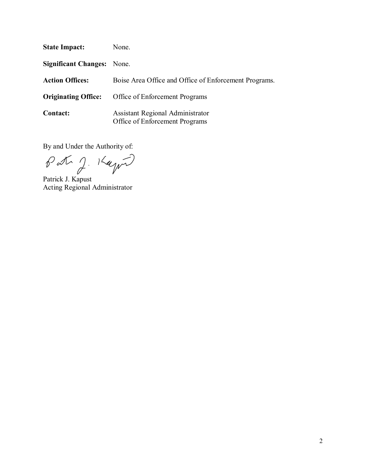| <b>State Impact:</b>              | None.                                                                     |
|-----------------------------------|---------------------------------------------------------------------------|
| <b>Significant Changes:</b> None. |                                                                           |
| <b>Action Offices:</b>            | Boise Area Office and Office of Enforcement Programs.                     |
| <b>Originating Office:</b>        | Office of Enforcement Programs                                            |
| <b>Contact:</b>                   | <b>Assistant Regional Administrator</b><br>Office of Enforcement Programs |

By and Under the Authority of:

Patr J. 14 pm

Patrick J. Kapust Acting Regional Administrator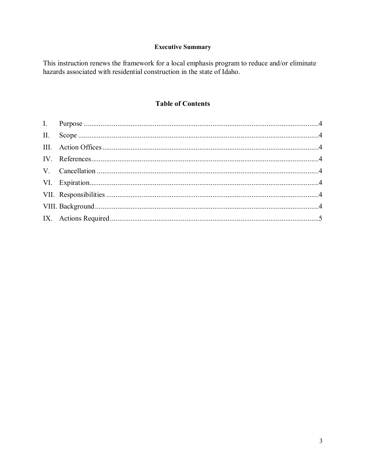# **Executive Summary**

This instruction renews the framework for a local emphasis program to reduce and/or eliminate hazards associated with residential construction in the state of Idaho.

## **Table of Contents**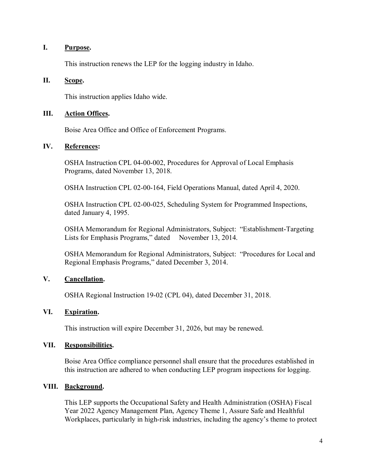#### <span id="page-3-0"></span>**I. Purpose.**

This instruction renews the LEP for the logging industry in Idaho.

#### <span id="page-3-1"></span>**II. Scope.**

This instruction applies Idaho wide.

#### <span id="page-3-2"></span>**III. Action Offices.**

Boise Area Office and Office of Enforcement Programs.

#### <span id="page-3-3"></span>**IV. References:**

OSHA Instruction CPL 04-00-002, Procedures for Approval of Local Emphasis Programs, dated November 13, 2018.

OSHA Instruction CPL 02-00-164, Field Operations Manual, dated April 4, 2020.

OSHA Instruction CPL 02-00-025, Scheduling System for Programmed Inspections, dated January 4, 1995.

OSHA Memorandum for Regional Administrators, Subject: "Establishment-Targeting Lists for Emphasis Programs," dated November 13, 2014.

OSHA Memorandum for Regional Administrators, Subject: "Procedures for Local and Regional Emphasis Programs," dated December 3, 2014.

## <span id="page-3-4"></span>**V. Cancellation.**

OSHA Regional Instruction 19-02 (CPL 04), dated December 31, 2018.

## <span id="page-3-5"></span>**VI. Expiration.**

This instruction will expire December 31, 2026, but may be renewed.

#### <span id="page-3-6"></span>**VII. Responsibilities.**

Boise Area Office compliance personnel shall ensure that the procedures established in this instruction are adhered to when conducting LEP program inspections for logging.

## <span id="page-3-7"></span>**VIII. Background.**

This LEP supports the Occupational Safety and Health Administration (OSHA) Fiscal Year 2022 Agency Management Plan, Agency Theme 1, Assure Safe and Healthful Workplaces, particularly in high-risk industries, including the agency's theme to protect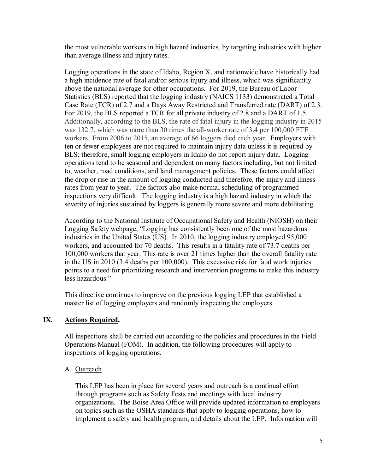the most vulnerable workers in high hazard industries, by targeting industries with higher than average illness and injury rates.

Logging operations in the state of Idaho, Region X, and nationwide have historically had a high incidence rate of fatal and/or serious injury and illness, which was significantly above the national average for other occupations. For 2019, the Bureau of Labor Statistics (BLS) reported that the logging industry (NAICS 1133) demonstrated a Total Case Rate (TCR) of 2.7 and a Days Away Restricted and Transferred rate (DART) of 2.3. For 2019, the BLS reported a TCR for all private industry of 2.8 and a DART of 1.5. Additionally, according to the BLS, the rate of fatal injury in the logging industry in 2015 was 132.7, which was more than 30 times the all-worker rate of 3.4 per 100,000 FTE workers. From 2006 to 2015, an average of 66 loggers died each year. Employers with ten or fewer employees are not required to maintain injury data unless it is required by BLS; therefore, small logging employers in Idaho do not report injury data. Logging operations tend to be seasonal and dependent on many factors including, but not limited to, weather, road conditions, and land management policies. These factors could affect the drop or rise in the amount of logging conducted and therefore, the injury and illness rates from year to year. The factors also make normal scheduling of programmed inspections very difficult. The logging industry is a high hazard industry in which the severity of injuries sustained by loggers is generally more severe and more debilitating.

According to the National Institute of Occupational Safety and Health (NIOSH) on their Logging Safety webpage, "Logging has consistently been one of the most hazardous industries in the United States (US). In 2010, the logging industry employed 95,000 workers, and accounted for 70 deaths. This results in a fatality rate of 73.7 deaths per 100,000 workers that year. This rate is over 21 times higher than the overall fatality rate in the US in 2010 (3.4 deaths per 100,000). This excessive risk for fatal work injuries points to a need for prioritizing research and intervention programs to make this industry less hazardous."

This directive continues to improve on the previous logging LEP that established a master list of logging employers and randomly inspecting the employers.

## <span id="page-4-0"></span>**IX. Actions Required.**

All inspections shall be carried out according to the policies and procedures in the Field Operations Manual (FOM). In addition, the following procedures will apply to inspections of logging operations.

## A. Outreach

This LEP has been in place for several years and outreach is a continual effort through programs such as Safety Fests and meetings with local industry organizations. The Boise Area Office will provide updated information to employers on topics such as the OSHA standards that apply to logging operations, how to implement a safety and health program, and details about the LEP. Information will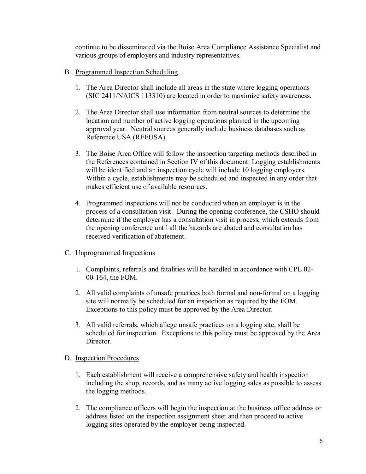continue to be disseminated via the Boise Area Compliance Assistance Specialist and various groups of employers and industry representatives.

- B. Programmed Inspection Scheduling
	- 1. The Area Director shall include all areas in the state where logging operations (SIC 2411/NAICS 113310) are located in order to maximize safety awareness.
	- 2. The Area Director shall use information from neutral sources to determine the location and number of active logging operations planned in the upcoming approval year. Neutral sources generally include business databases such as Reference USA (REFUSA).
	- 3. The Boise Area Office will follow the inspection targeting methods described in the References contained in Section IV of this document. Logging establishments will be identified and an inspection cycle will include 10 logging employers. Within a cycle, establishments may be scheduled and inspected in any order that makes efficient use of available resources.
	- 4. Programmed inspections will not be conducted when an employer is in the process of a consultation visit. During the opening conference, the CSHO should determine if the employer has a consultation visit in process, which extends from the opening conference until all the hazards are abated and consultation has received verification of abatement.
- C. Unprogrammed Inspections
	- 1. Complaints, referrals and fatalities will be handled in accordance with CPL 02- 00-164, the FOM.
	- 2. All valid complaints of unsafe practices both formal and non-formal on a logging site will normally be scheduled for an inspection as required by the FOM. Exceptions to this policy must be approved by the Area Director.
	- 3. All valid referrals, which allege unsafe practices on a logging site, shall be scheduled for inspection. Exceptions to this policy must be approved by the Area Director.

## D. Inspection Procedures

- 1. Each establishment will receive a comprehensive safety and health inspection including the shop, records, and as many active logging sales as possible to assess the logging methods.
- 2. The compliance officers will begin the inspection at the business office address or address listed on the inspection assignment sheet and then proceed to active logging sites operated by the employer being inspected.